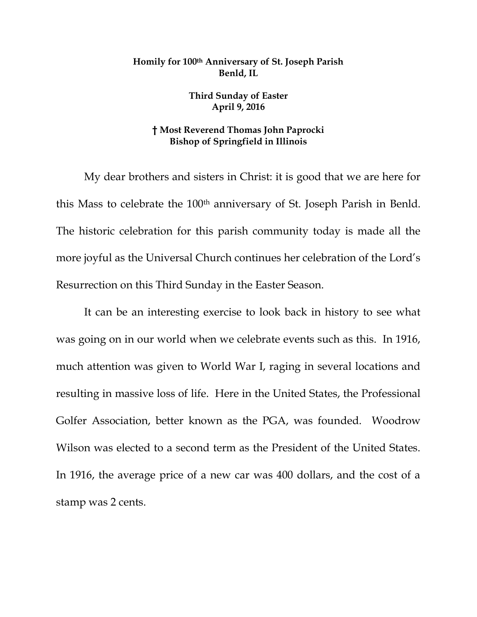## **Homily for 100th Anniversary of St. Joseph Parish Benld, IL**

**Third Sunday of Easter April 9, 2016**

## **† Most Reverend Thomas John Paprocki Bishop of Springfield in Illinois**

My dear brothers and sisters in Christ: it is good that we are here for this Mass to celebrate the 100<sup>th</sup> anniversary of St. Joseph Parish in Benld. The historic celebration for this parish community today is made all the more joyful as the Universal Church continues her celebration of the Lord's Resurrection on this Third Sunday in the Easter Season.

It can be an interesting exercise to look back in history to see what was going on in our world when we celebrate events such as this. In 1916, much attention was given to World War I, raging in several locations and resulting in massive loss of life. Here in the United States, the Professional Golfer Association, better known as the PGA, was founded. Woodrow Wilson was elected to a second term as the President of the United States. In 1916, the average price of a new car was 400 dollars, and the cost of a stamp was 2 cents.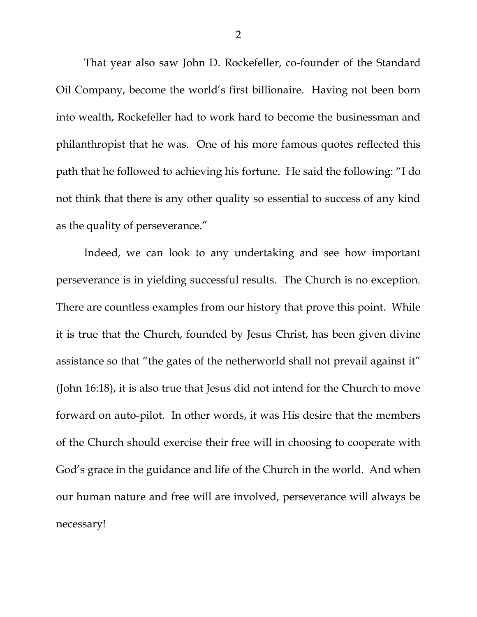That year also saw John D. Rockefeller, co-founder of the Standard Oil Company, become the world's first billionaire. Having not been born into wealth, Rockefeller had to work hard to become the businessman and philanthropist that he was. One of his more famous quotes reflected this path that he followed to achieving his fortune. He said the following: "I do not think that there is any other quality so essential to success of any kind as the quality of perseverance."

Indeed, we can look to any undertaking and see how important perseverance is in yielding successful results. The Church is no exception. There are countless examples from our history that prove this point. While it is true that the Church, founded by Jesus Christ, has been given divine assistance so that "the gates of the netherworld shall not prevail against it" (John 16:18), it is also true that Jesus did not intend for the Church to move forward on auto-pilot. In other words, it was His desire that the members of the Church should exercise their free will in choosing to cooperate with God's grace in the guidance and life of the Church in the world. And when our human nature and free will are involved, perseverance will always be necessary!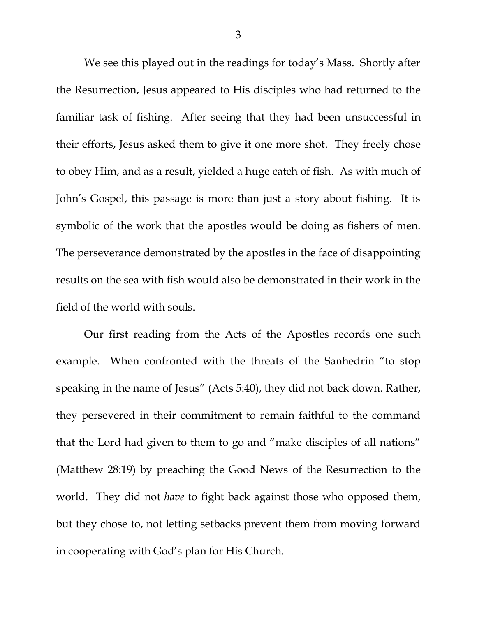We see this played out in the readings for today's Mass. Shortly after the Resurrection, Jesus appeared to His disciples who had returned to the familiar task of fishing. After seeing that they had been unsuccessful in their efforts, Jesus asked them to give it one more shot. They freely chose to obey Him, and as a result, yielded a huge catch of fish. As with much of John's Gospel, this passage is more than just a story about fishing. It is symbolic of the work that the apostles would be doing as fishers of men. The perseverance demonstrated by the apostles in the face of disappointing results on the sea with fish would also be demonstrated in their work in the field of the world with souls.

Our first reading from the Acts of the Apostles records one such example. When confronted with the threats of the Sanhedrin "to stop speaking in the name of Jesus" (Acts 5:40), they did not back down. Rather, they persevered in their commitment to remain faithful to the command that the Lord had given to them to go and "make disciples of all nations" (Matthew 28:19) by preaching the Good News of the Resurrection to the world. They did not *have* to fight back against those who opposed them, but they chose to, not letting setbacks prevent them from moving forward in cooperating with God's plan for His Church.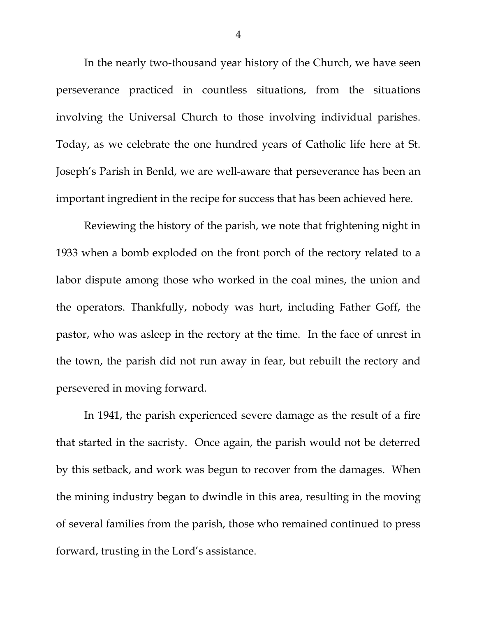In the nearly two-thousand year history of the Church, we have seen perseverance practiced in countless situations, from the situations involving the Universal Church to those involving individual parishes. Today, as we celebrate the one hundred years of Catholic life here at St. Joseph's Parish in Benld, we are well-aware that perseverance has been an important ingredient in the recipe for success that has been achieved here.

Reviewing the history of the parish, we note that frightening night in 1933 when a bomb exploded on the front porch of the rectory related to a labor dispute among those who worked in the coal mines, the union and the operators. Thankfully, nobody was hurt, including Father Goff, the pastor, who was asleep in the rectory at the time. In the face of unrest in the town, the parish did not run away in fear, but rebuilt the rectory and persevered in moving forward.

In 1941, the parish experienced severe damage as the result of a fire that started in the sacristy. Once again, the parish would not be deterred by this setback, and work was begun to recover from the damages. When the mining industry began to dwindle in this area, resulting in the moving of several families from the parish, those who remained continued to press forward, trusting in the Lord's assistance.

4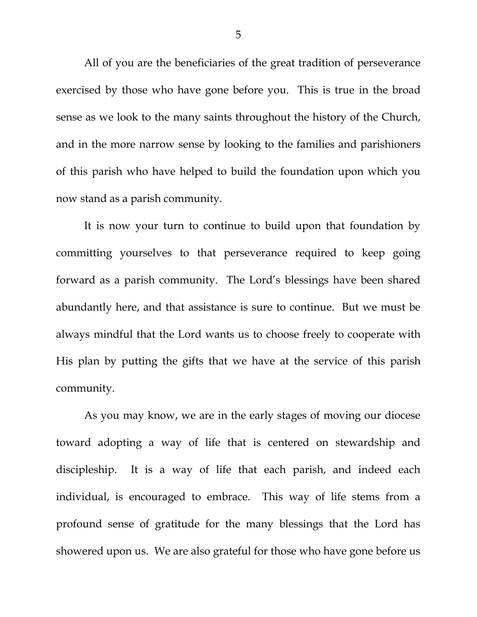All of you are the beneficiaries of the great tradition of perseverance exercised by those who have gone before you. This is true in the broad sense as we look to the many saints throughout the history of the Church, and in the more narrow sense by looking to the families and parishioners of this parish who have helped to build the foundation upon which you now stand as a parish community.

It is now your turn to continue to build upon that foundation by committing yourselves to that perseverance required to keep going forward as a parish community. The Lord's blessings have been shared abundantly here, and that assistance is sure to continue. But we must be always mindful that the Lord wants us to choose freely to cooperate with His plan by putting the gifts that we have at the service of this parish community.

As you may know, we are in the early stages of moving our diocese toward adopting a way of life that is centered on stewardship and discipleship. It is a way of life that each parish, and indeed each individual, is encouraged to embrace. This way of life stems from a profound sense of gratitude for the many blessings that the Lord has showered upon us. We are also grateful for those who have gone before us